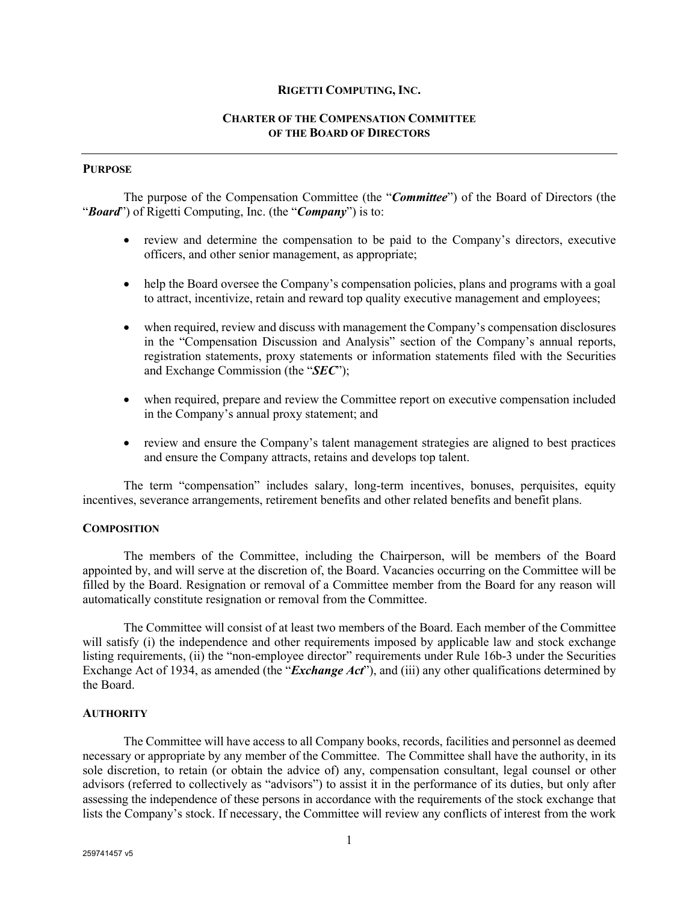#### **RIGETTI COMPUTING, INC.**

# **CHARTER OF THE COMPENSATION COMMITTEE OF THE BOARD OF DIRECTORS**

# **PURPOSE**

The purpose of the Compensation Committee (the "*Committee*") of the Board of Directors (the "*Board*") of Rigetti Computing, Inc. (the "*Company*") is to:

- review and determine the compensation to be paid to the Company's directors, executive officers, and other senior management, as appropriate;
- help the Board oversee the Company's compensation policies, plans and programs with a goal to attract, incentivize, retain and reward top quality executive management and employees;
- when required, review and discuss with management the Company's compensation disclosures in the "Compensation Discussion and Analysis" section of the Company's annual reports, registration statements, proxy statements or information statements filed with the Securities and Exchange Commission (the "*SEC*");
- when required, prepare and review the Committee report on executive compensation included in the Company's annual proxy statement; and
- review and ensure the Company's talent management strategies are aligned to best practices and ensure the Company attracts, retains and develops top talent.

The term "compensation" includes salary, long-term incentives, bonuses, perquisites, equity incentives, severance arrangements, retirement benefits and other related benefits and benefit plans.

### **COMPOSITION**

The members of the Committee, including the Chairperson, will be members of the Board appointed by, and will serve at the discretion of, the Board. Vacancies occurring on the Committee will be filled by the Board. Resignation or removal of a Committee member from the Board for any reason will automatically constitute resignation or removal from the Committee.

The Committee will consist of at least two members of the Board. Each member of the Committee will satisfy (i) the independence and other requirements imposed by applicable law and stock exchange listing requirements, (ii) the "non-employee director" requirements under Rule 16b-3 under the Securities Exchange Act of 1934, as amended (the "*Exchange Act*"), and (iii) any other qualifications determined by the Board.

#### **AUTHORITY**

The Committee will have access to all Company books, records, facilities and personnel as deemed necessary or appropriate by any member of the Committee. The Committee shall have the authority, in its sole discretion, to retain (or obtain the advice of) any, compensation consultant, legal counsel or other advisors (referred to collectively as "advisors") to assist it in the performance of its duties, but only after assessing the independence of these persons in accordance with the requirements of the stock exchange that lists the Company's stock. If necessary, the Committee will review any conflicts of interest from the work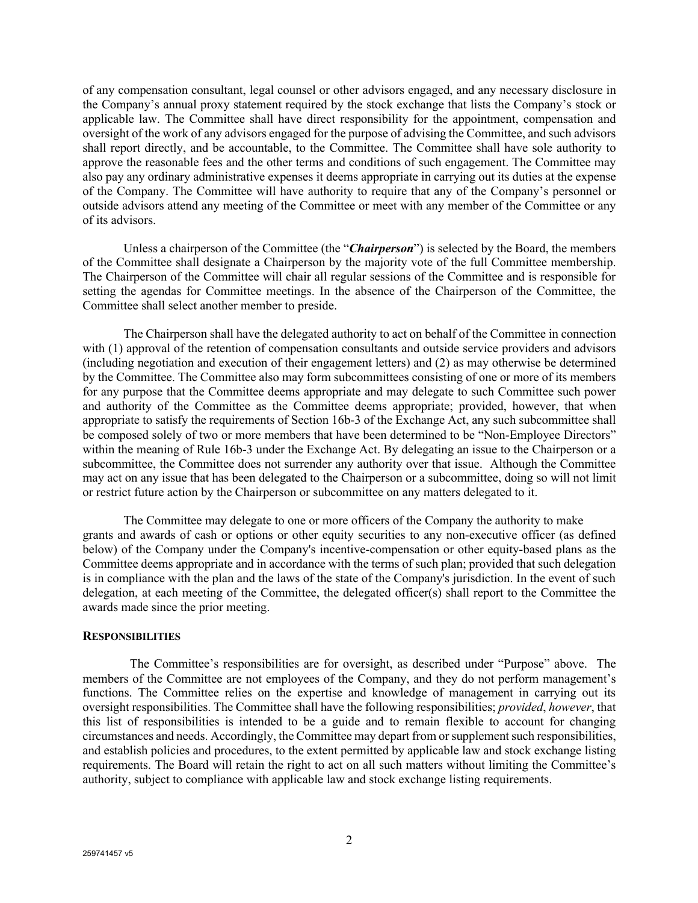of any compensation consultant, legal counsel or other advisors engaged, and any necessary disclosure in the Company's annual proxy statement required by the stock exchange that lists the Company's stock or applicable law. The Committee shall have direct responsibility for the appointment, compensation and oversight of the work of any advisors engaged for the purpose of advising the Committee, and such advisors shall report directly, and be accountable, to the Committee. The Committee shall have sole authority to approve the reasonable fees and the other terms and conditions of such engagement. The Committee may also pay any ordinary administrative expenses it deems appropriate in carrying out its duties at the expense of the Company. The Committee will have authority to require that any of the Company's personnel or outside advisors attend any meeting of the Committee or meet with any member of the Committee or any of its advisors.

Unless a chairperson of the Committee (the "*Chairperson*") is selected by the Board, the members of the Committee shall designate a Chairperson by the majority vote of the full Committee membership. The Chairperson of the Committee will chair all regular sessions of the Committee and is responsible for setting the agendas for Committee meetings. In the absence of the Chairperson of the Committee, the Committee shall select another member to preside.

The Chairperson shall have the delegated authority to act on behalf of the Committee in connection with (1) approval of the retention of compensation consultants and outside service providers and advisors (including negotiation and execution of their engagement letters) and (2) as may otherwise be determined by the Committee. The Committee also may form subcommittees consisting of one or more of its members for any purpose that the Committee deems appropriate and may delegate to such Committee such power and authority of the Committee as the Committee deems appropriate; provided, however, that when appropriate to satisfy the requirements of Section 16b-3 of the Exchange Act, any such subcommittee shall be composed solely of two or more members that have been determined to be "Non-Employee Directors" within the meaning of Rule 16b-3 under the Exchange Act. By delegating an issue to the Chairperson or a subcommittee, the Committee does not surrender any authority over that issue. Although the Committee may act on any issue that has been delegated to the Chairperson or a subcommittee, doing so will not limit or restrict future action by the Chairperson or subcommittee on any matters delegated to it.

The Committee may delegate to one or more officers of the Company the authority to make grants and awards of cash or options or other equity securities to any non-executive officer (as defined below) of the Company under the Company's incentive-compensation or other equity-based plans as the Committee deems appropriate and in accordance with the terms of such plan; provided that such delegation is in compliance with the plan and the laws of the state of the Company's jurisdiction. In the event of such delegation, at each meeting of the Committee, the delegated officer(s) shall report to the Committee the awards made since the prior meeting.

### **RESPONSIBILITIES**

 The Committee's responsibilities are for oversight, as described under "Purpose" above. The members of the Committee are not employees of the Company, and they do not perform management's functions. The Committee relies on the expertise and knowledge of management in carrying out its oversight responsibilities. The Committee shall have the following responsibilities; *provided*, *however*, that this list of responsibilities is intended to be a guide and to remain flexible to account for changing circumstances and needs. Accordingly, the Committee may depart from or supplement such responsibilities, and establish policies and procedures, to the extent permitted by applicable law and stock exchange listing requirements. The Board will retain the right to act on all such matters without limiting the Committee's authority, subject to compliance with applicable law and stock exchange listing requirements.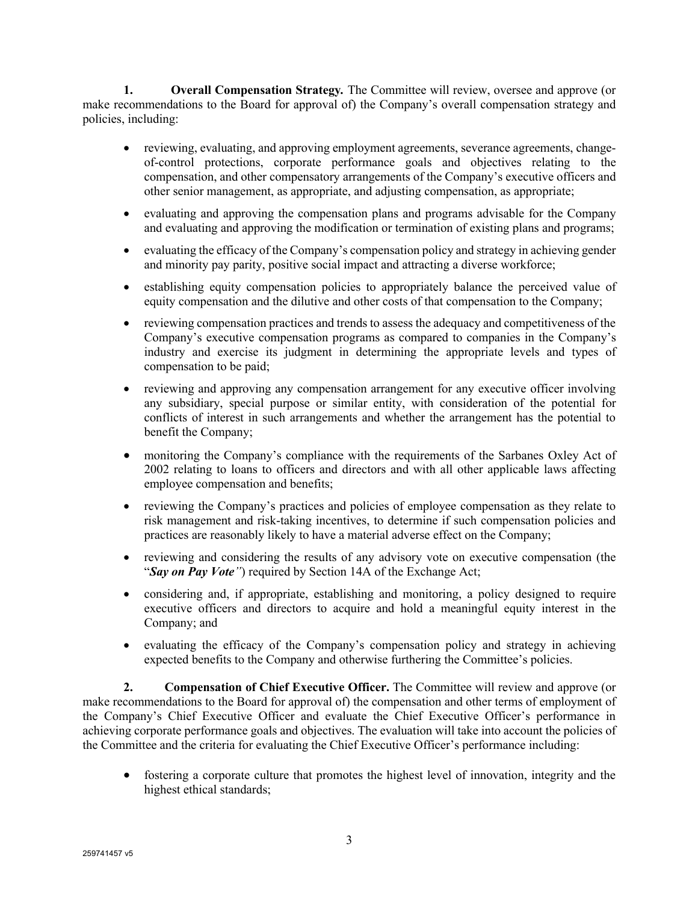**1. Overall Compensation Strategy***.* The Committee will review, oversee and approve (or make recommendations to the Board for approval of) the Company's overall compensation strategy and policies, including:

- reviewing, evaluating, and approving employment agreements, severance agreements, changeof-control protections, corporate performance goals and objectives relating to the compensation, and other compensatory arrangements of the Company's executive officers and other senior management, as appropriate, and adjusting compensation, as appropriate;
- evaluating and approving the compensation plans and programs advisable for the Company and evaluating and approving the modification or termination of existing plans and programs;
- evaluating the efficacy of the Company's compensation policy and strategy in achieving gender and minority pay parity, positive social impact and attracting a diverse workforce;
- establishing equity compensation policies to appropriately balance the perceived value of equity compensation and the dilutive and other costs of that compensation to the Company;
- reviewing compensation practices and trends to assess the adequacy and competitiveness of the Company's executive compensation programs as compared to companies in the Company's industry and exercise its judgment in determining the appropriate levels and types of compensation to be paid;
- reviewing and approving any compensation arrangement for any executive officer involving any subsidiary, special purpose or similar entity, with consideration of the potential for conflicts of interest in such arrangements and whether the arrangement has the potential to benefit the Company;
- monitoring the Company's compliance with the requirements of the Sarbanes Oxley Act of 2002 relating to loans to officers and directors and with all other applicable laws affecting employee compensation and benefits;
- reviewing the Company's practices and policies of employee compensation as they relate to risk management and risk-taking incentives, to determine if such compensation policies and practices are reasonably likely to have a material adverse effect on the Company;
- reviewing and considering the results of any advisory vote on executive compensation (the "*Say on Pay Vote"*) required by Section 14A of the Exchange Act;
- considering and, if appropriate, establishing and monitoring, a policy designed to require executive officers and directors to acquire and hold a meaningful equity interest in the Company; and
- evaluating the efficacy of the Company's compensation policy and strategy in achieving expected benefits to the Company and otherwise furthering the Committee's policies.

**2. Compensation of Chief Executive Officer.** The Committee will review and approve (or make recommendations to the Board for approval of) the compensation and other terms of employment of the Company's Chief Executive Officer and evaluate the Chief Executive Officer's performance in achieving corporate performance goals and objectives. The evaluation will take into account the policies of the Committee and the criteria for evaluating the Chief Executive Officer's performance including:

• fostering a corporate culture that promotes the highest level of innovation, integrity and the highest ethical standards;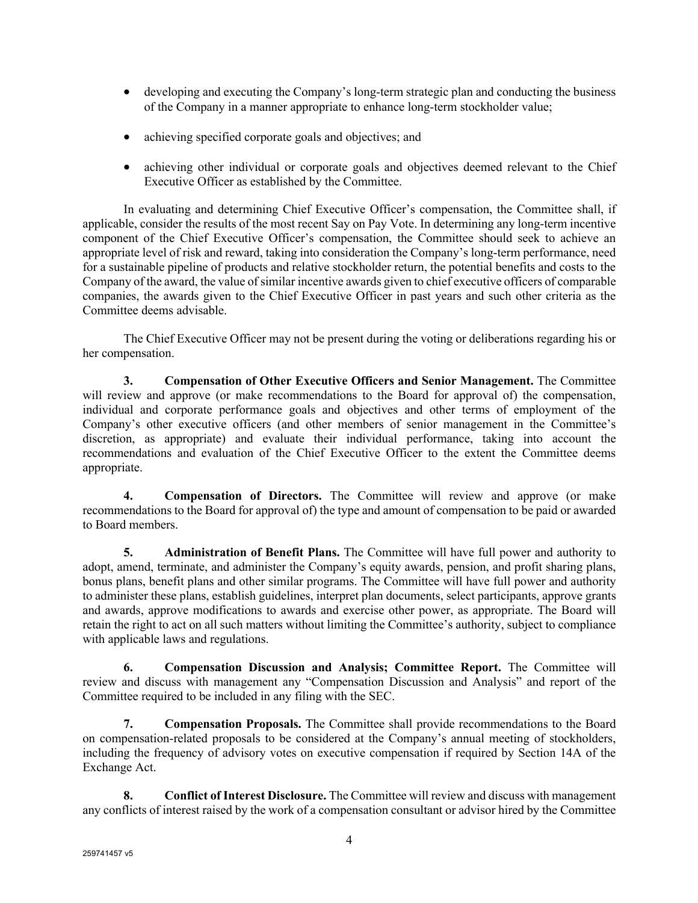- developing and executing the Company's long-term strategic plan and conducting the business of the Company in a manner appropriate to enhance long-term stockholder value;
- achieving specified corporate goals and objectives; and
- achieving other individual or corporate goals and objectives deemed relevant to the Chief Executive Officer as established by the Committee.

In evaluating and determining Chief Executive Officer's compensation, the Committee shall, if applicable, consider the results of the most recent Say on Pay Vote. In determining any long-term incentive component of the Chief Executive Officer's compensation, the Committee should seek to achieve an appropriate level of risk and reward, taking into consideration the Company's long-term performance, need for a sustainable pipeline of products and relative stockholder return, the potential benefits and costs to the Company of the award, the value of similar incentive awards given to chief executive officers of comparable companies, the awards given to the Chief Executive Officer in past years and such other criteria as the Committee deems advisable.

The Chief Executive Officer may not be present during the voting or deliberations regarding his or her compensation.

**3. Compensation of Other Executive Officers and Senior Management.** The Committee will review and approve (or make recommendations to the Board for approval of) the compensation, individual and corporate performance goals and objectives and other terms of employment of the Company's other executive officers (and other members of senior management in the Committee's discretion, as appropriate) and evaluate their individual performance, taking into account the recommendations and evaluation of the Chief Executive Officer to the extent the Committee deems appropriate.

**4. Compensation of Directors.** The Committee will review and approve (or make recommendations to the Board for approval of) the type and amount of compensation to be paid or awarded to Board members.

**5. Administration of Benefit Plans.** The Committee will have full power and authority to adopt, amend, terminate, and administer the Company's equity awards, pension, and profit sharing plans, bonus plans, benefit plans and other similar programs. The Committee will have full power and authority to administer these plans, establish guidelines, interpret plan documents, select participants, approve grants and awards, approve modifications to awards and exercise other power, as appropriate. The Board will retain the right to act on all such matters without limiting the Committee's authority, subject to compliance with applicable laws and regulations.

**6. Compensation Discussion and Analysis; Committee Report.** The Committee will review and discuss with management any "Compensation Discussion and Analysis" and report of the Committee required to be included in any filing with the SEC.

**7. Compensation Proposals.** The Committee shall provide recommendations to the Board on compensation-related proposals to be considered at the Company's annual meeting of stockholders, including the frequency of advisory votes on executive compensation if required by Section 14A of the Exchange Act.

**8. Conflict of Interest Disclosure.** The Committee will review and discuss with management any conflicts of interest raised by the work of a compensation consultant or advisor hired by the Committee